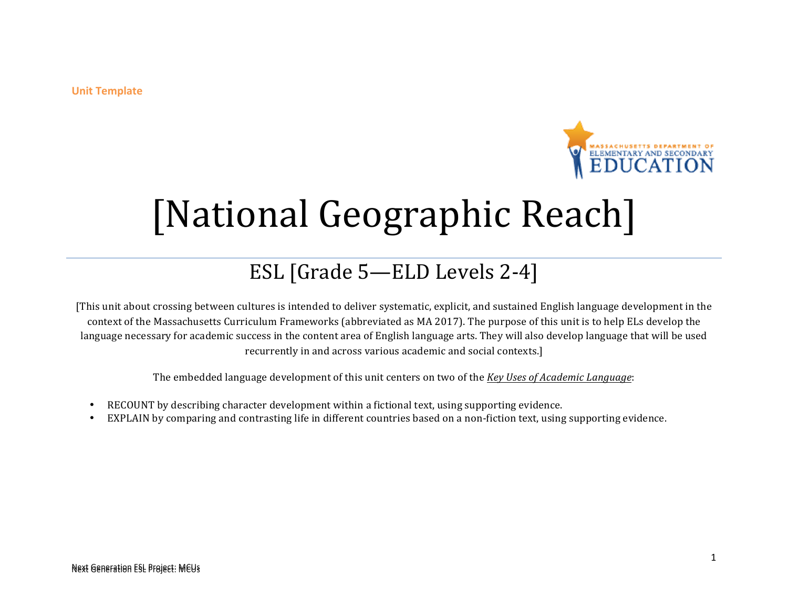**Unit Template** 



# [National Geographic Reach]

### ESL [Grade 5-ELD Levels 2-4]

[This unit about crossing between cultures is intended to deliver systematic, explicit, and sustained English language development in the context of the Massachusetts Curriculum Frameworks (abbreviated as MA 2017). The purpose of this unit is to help ELs develop the language necessary for academic success in the content area of English language arts. They will also develop language that will be used recurrently in and across various academic and social contexts.]

The embedded language development of this unit centers on two of the *Key Uses of Academic Language*:

- RECOUNT by describing character development within a fictional text, using supporting evidence.
- EXPLAIN by comparing and contrasting life in different countries based on a non-fiction text, using supporting evidence.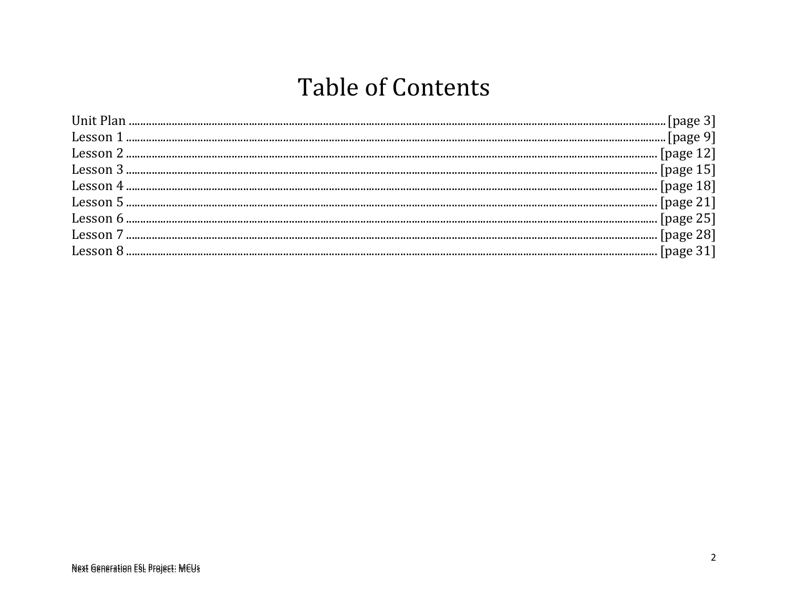# **Table of Contents**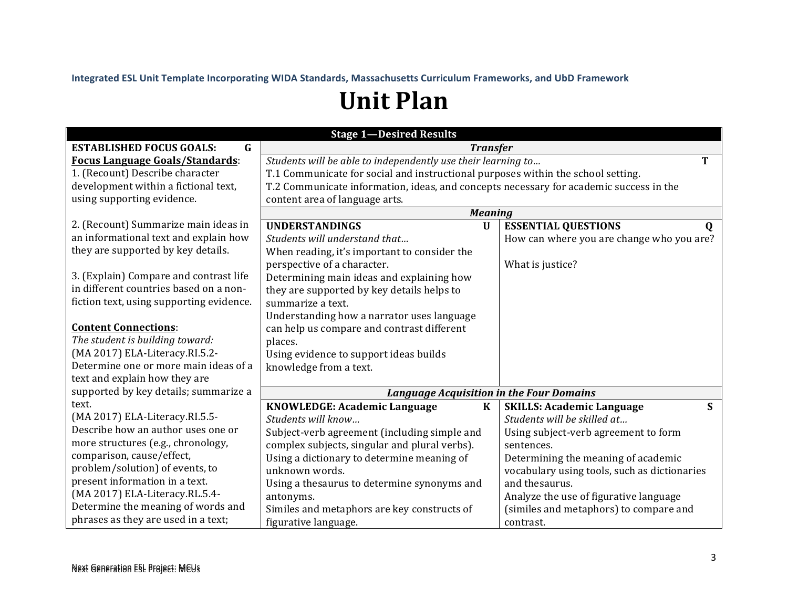Integrated ESL Unit Template Incorporating WIDA Standards, Massachusetts Curriculum Frameworks, and UbD Framework

# **Unit Plan**

| <b>Stage 1-Desired Results</b>                 |                                                                                        |                                              |  |  |
|------------------------------------------------|----------------------------------------------------------------------------------------|----------------------------------------------|--|--|
| $\mathbf G$<br><b>ESTABLISHED FOCUS GOALS:</b> | <b>Transfer</b>                                                                        |                                              |  |  |
| <b>Focus Language Goals/Standards:</b>         | Students will be able to independently use their learning to<br>т                      |                                              |  |  |
| 1. (Recount) Describe character                | T.1 Communicate for social and instructional purposes within the school setting.       |                                              |  |  |
| development within a fictional text,           | T.2 Communicate information, ideas, and concepts necessary for academic success in the |                                              |  |  |
| using supporting evidence.                     | content area of language arts.                                                         |                                              |  |  |
|                                                | <b>Meaning</b>                                                                         |                                              |  |  |
| 2. (Recount) Summarize main ideas in           | <b>UNDERSTANDINGS</b><br>$\mathbf U$                                                   | <b>ESSENTIAL QUESTIONS</b><br>$\mathbf 0$    |  |  |
| an informational text and explain how          | Students will understand that                                                          | How can where you are change who you are?    |  |  |
| they are supported by key details.             | When reading, it's important to consider the                                           |                                              |  |  |
|                                                | perspective of a character.                                                            | What is justice?                             |  |  |
| 3. (Explain) Compare and contrast life         | Determining main ideas and explaining how                                              |                                              |  |  |
| in different countries based on a non-         | they are supported by key details helps to                                             |                                              |  |  |
| fiction text, using supporting evidence.       | summarize a text.                                                                      |                                              |  |  |
|                                                | Understanding how a narrator uses language                                             |                                              |  |  |
| <b>Content Connections:</b>                    | can help us compare and contrast different                                             |                                              |  |  |
| The student is building toward:                | places.                                                                                |                                              |  |  |
| (MA 2017) ELA-Literacy.RI.5.2-                 | Using evidence to support ideas builds                                                 |                                              |  |  |
| Determine one or more main ideas of a          | knowledge from a text.                                                                 |                                              |  |  |
| text and explain how they are                  |                                                                                        |                                              |  |  |
| supported by key details; summarize a          | <b>Language Acquisition in the Four Domains</b>                                        |                                              |  |  |
| text.                                          | <b>KNOWLEDGE: Academic Language</b><br>$\bf K$                                         | S<br><b>SKILLS: Academic Language</b>        |  |  |
| (MA 2017) ELA-Literacy.RI.5.5-                 | Students will know                                                                     | Students will be skilled at                  |  |  |
| Describe how an author uses one or             | Subject-verb agreement (including simple and                                           | Using subject-verb agreement to form         |  |  |
| more structures (e.g., chronology,             | complex subjects, singular and plural verbs).                                          | sentences.                                   |  |  |
| comparison, cause/effect,                      | Using a dictionary to determine meaning of                                             | Determining the meaning of academic          |  |  |
| problem/solution) of events, to                | unknown words.                                                                         | vocabulary using tools, such as dictionaries |  |  |
| present information in a text.                 | Using a thesaurus to determine synonyms and                                            | and thesaurus.                               |  |  |
| (MA 2017) ELA-Literacy.RL.5.4-                 | antonyms.                                                                              | Analyze the use of figurative language       |  |  |
| Determine the meaning of words and             | Similes and metaphors are key constructs of                                            | (similes and metaphors) to compare and       |  |  |
| phrases as they are used in a text;            | figurative language.                                                                   | contrast.                                    |  |  |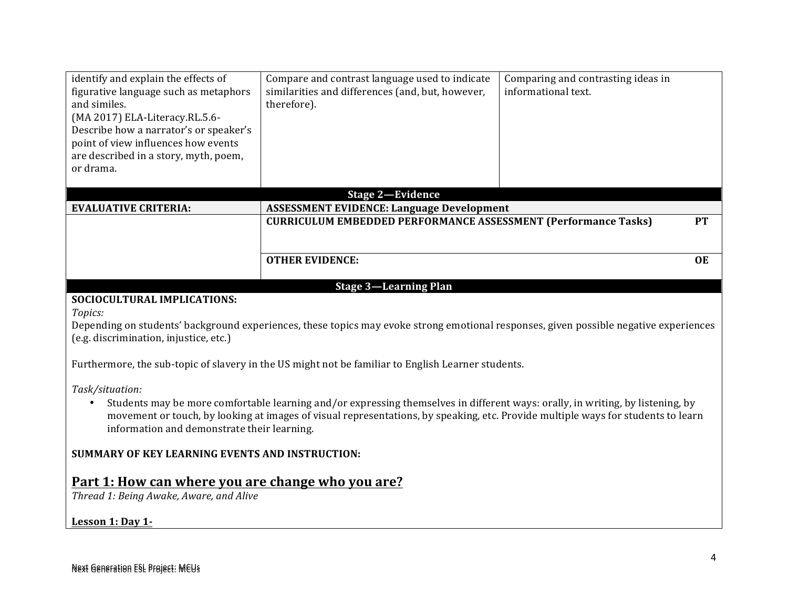| identify and explain the effects of<br>figurative language such as metaphors<br>and similes.<br>(MA 2017) ELA-Literacy.RL.5.6-<br>Describe how a narrator's or speaker's<br>point of view influences how events<br>are described in a story, myth, poem,<br>or drama. | Compare and contrast language used to indicate<br>similarities and differences (and, but, however,<br>therefore). | Comparing and contrasting ideas in<br>informational text. |  |
|-----------------------------------------------------------------------------------------------------------------------------------------------------------------------------------------------------------------------------------------------------------------------|-------------------------------------------------------------------------------------------------------------------|-----------------------------------------------------------|--|
|                                                                                                                                                                                                                                                                       | <b>Stage 2-Evidence</b>                                                                                           |                                                           |  |
| <b>EVALUATIVE CRITERIA:</b>                                                                                                                                                                                                                                           | <b>ASSESSMENT EVIDENCE: Language Development</b>                                                                  |                                                           |  |
|                                                                                                                                                                                                                                                                       | <b>CURRICULUM EMBEDDED PERFORMANCE ASSESSMENT (Performance Tasks)</b>                                             | <b>PT</b>                                                 |  |
|                                                                                                                                                                                                                                                                       | <b>OTHER EVIDENCE:</b>                                                                                            | <b>OE</b>                                                 |  |
|                                                                                                                                                                                                                                                                       | <b>Stage 3-Learning Plan</b>                                                                                      |                                                           |  |
| SOCIOCULTURAL IMPLICATIONS:<br>Topics:<br>Depending on students' background experiences, these topics may evoke strong emotional responses, given possible negative experiences<br>(e.g. discrimination, injustice, etc.)                                             |                                                                                                                   |                                                           |  |
| Furthermore, the sub-topic of slavery in the US might not be familiar to English Learner students.                                                                                                                                                                    |                                                                                                                   |                                                           |  |
| Task/situation:<br>$\alpha$ is the state of the state of the state of the state of the state of the state of the state of the state of the state of the state of the state of the state of the state of the state of the state of the state of the s                  |                                                                                                                   |                                                           |  |

• Students may be more comfortable learning and/or expressing themselves in different ways: orally, in writing, by listening, by movement or touch, by looking at images of visual representations, by speaking, etc. Provide multiple ways for students to learn information and demonstrate their learning.

#### **SUMMARY OF KEY LEARNING EVENTS AND INSTRUCTION:**

### Part 1: How can where you are change who you are?

*Thread 1: Being Awake, Aware, and Alive*

#### **Lesson 1: Day 1-**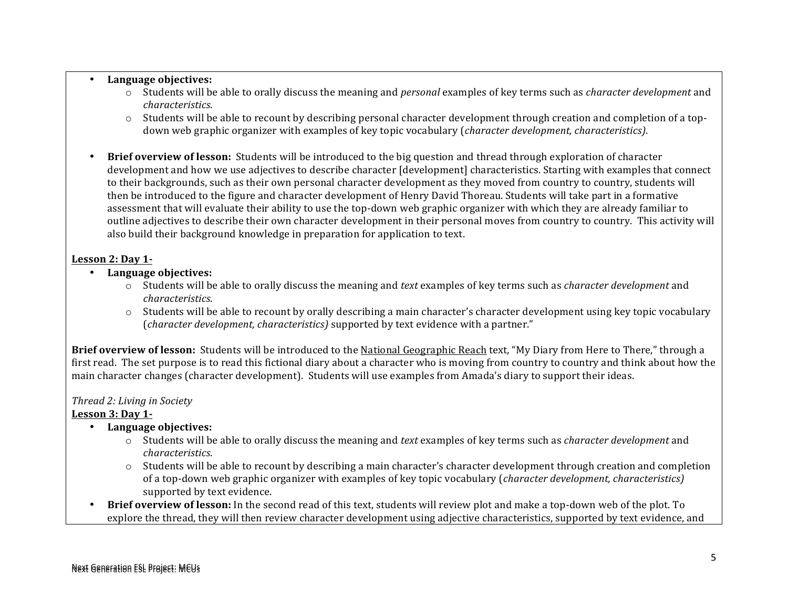#### • **Language objectives:**

- $\circ$  Students will be able to orally discuss the meaning and *personal* examples of key terms such as *character development* and *characteristics*.
- $\circ$  Students will be able to recount by describing personal character development through creation and completion of a topdown web graphic organizer with examples of key topic vocabulary (*character development, characteristics*).
- **Brief overview of lesson:** Students will be introduced to the big question and thread through exploration of character development and how we use adjectives to describe character [development] characteristics. Starting with examples that connect to their backgrounds, such as their own personal character development as they moved from country to country, students will then be introduced to the figure and character development of Henry David Thoreau. Students will take part in a formative assessment that will evaluate their ability to use the top-down web graphic organizer with which they are already familiar to outline adjectives to describe their own character development in their personal moves from country to country. This activity will also build their background knowledge in preparation for application to text.

#### Lesson 2: Day 1-

- Language objectives:
	- $\circ$  Students will be able to orally discuss the meaning and *text* examples of key terms such as *character development* and *characteristics*.
	- $\circ$  Students will be able to recount by orally describing a main character's character development using key topic vocabulary (*character development, characteristics*) supported by text evidence with a partner."

**Brief overview of lesson:** Students will be introduced to the National Geographic Reach text, "My Diary from Here to There," through a first read. The set purpose is to read this fictional diary about a character who is moving from country to country and think about how the main character changes (character development). Students will use examples from Amada's diary to support their ideas.

#### *Thread 2: Living in Society*

#### Lesson 3: Day 1-

- **Language objectives:**
	- o Students will be able to orally discuss the meaning and *text* examples of key terms such as *character development* and *characteristics*.
	- $\circ$  Students will be able to recount by describing a main character's character development through creation and completion of a top-down web graphic organizer with examples of key topic vocabulary (*character development, characteristics*) supported by text evidence.
- Brief overview of lesson: In the second read of this text, students will review plot and make a top-down web of the plot. To explore the thread, they will then review character development using adjective characteristics, supported by text evidence, and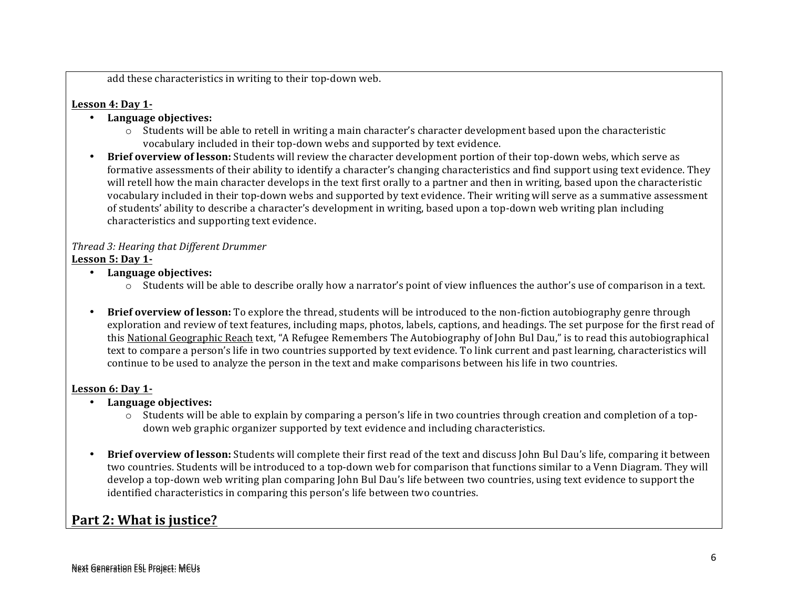add these characteristics in writing to their top-down web.

#### Lesson 4: Day 1-

- **Language objectives:**
	- $\circ$  Students will be able to retell in writing a main character's character development based upon the characteristic vocabulary included in their top-down webs and supported by text evidence.
- Brief overview of lesson: Students will review the character development portion of their top-down webs, which serve as formative assessments of their ability to identify a character's changing characteristics and find support using text evidence. They will retell how the main character develops in the text first orally to a partner and then in writing, based upon the characteristic vocabulary included in their top-down webs and supported by text evidence. Their writing will serve as a summative assessment of students' ability to describe a character's development in writing, based upon a top-down web writing plan including characteristics and supporting text evidence.

#### *Thread 3: Hearing that Different Drummer* **Lesson 5: Day 1-**

- **Language objectives:**
	- $\circ$  Students will be able to describe orally how a narrator's point of view influences the author's use of comparison in a text.
- Brief overview of lesson: To explore the thread, students will be introduced to the non-fiction autobiography genre through exploration and review of text features, including maps, photos, labels, captions, and headings. The set purpose for the first read of this National Geographic Reach text, "A Refugee Remembers The Autobiography of John Bul Dau," is to read this autobiographical text to compare a person's life in two countries supported by text evidence. To link current and past learning, characteristics will continue to be used to analyze the person in the text and make comparisons between his life in two countries.

#### Lesson 6: Day 1-

- **Language objectives:**
	- $\circ$  Students will be able to explain by comparing a person's life in two countries through creation and completion of a topdown web graphic organizer supported by text evidence and including characteristics.
- Brief overview of lesson: Students will complete their first read of the text and discuss John Bul Dau's life, comparing it between two countries. Students will be introduced to a top-down web for comparison that functions similar to a Venn Diagram. They will develop a top-down web writing plan comparing John Bul Dau's life between two countries, using text evidence to support the identified characteristics in comparing this person's life between two countries.

### **Part 2: What is justice?**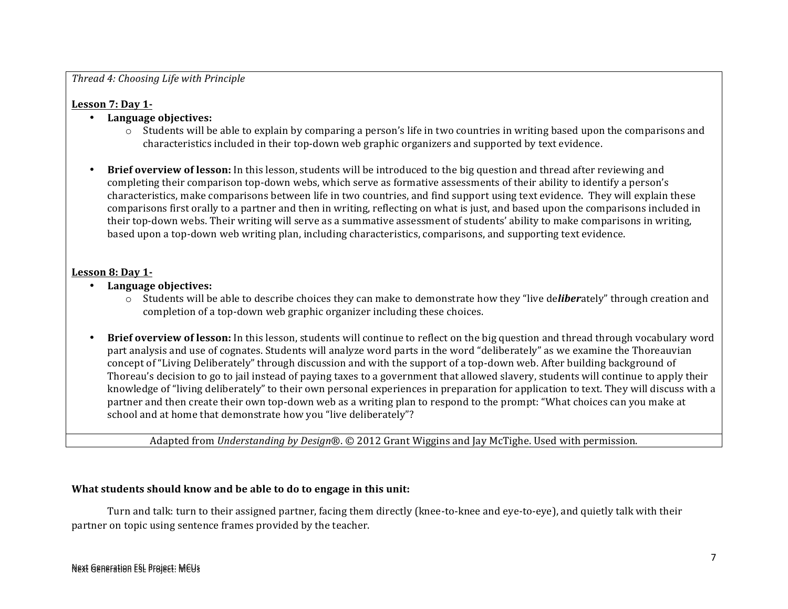#### *Thread 4: Choosing Life with Principle*

#### Lesson 7: Day 1-

- **Language objectives:**
	- $\circ$  Students will be able to explain by comparing a person's life in two countries in writing based upon the comparisons and characteristics included in their top-down web graphic organizers and supported by text evidence.
- **Brief overview of lesson:** In this lesson, students will be introduced to the big question and thread after reviewing and completing their comparison top-down webs, which serve as formative assessments of their ability to identify a person's characteristics, make comparisons between life in two countries, and find support using text evidence. They will explain these comparisons first orally to a partner and then in writing, reflecting on what is just, and based upon the comparisons included in their top-down webs. Their writing will serve as a summative assessment of students' ability to make comparisons in writing, based upon a top-down web writing plan, including characteristics, comparisons, and supporting text evidence.

#### Lesson 8: Day 1-

- Language objectives:
	- $\circ$  Students will be able to describe choices they can make to demonstrate how they "live deliberately" through creation and completion of a top-down web graphic organizer including these choices.
- Brief overview of lesson: In this lesson, students will continue to reflect on the big question and thread through vocabulary word part analysis and use of cognates. Students will analyze word parts in the word "deliberately" as we examine the Thoreauvian concept of "Living Deliberately" through discussion and with the support of a top-down web. After building background of Thoreau's decision to go to jail instead of paying taxes to a government that allowed slavery, students will continue to apply their knowledge of "living deliberately" to their own personal experiences in preparation for application to text. They will discuss with a partner and then create their own top-down web as a writing plan to respond to the prompt: "What choices can you make at school and at home that demonstrate how you "live deliberately"?

Adapted from *Understanding by Design®*. © 2012 Grant Wiggins and Jay McTighe. Used with permission.

#### What students should know and be able to do to engage in this unit:

Turn and talk: turn to their assigned partner, facing them directly (knee-to-knee and eye-to-eye), and quietly talk with their partner on topic using sentence frames provided by the teacher.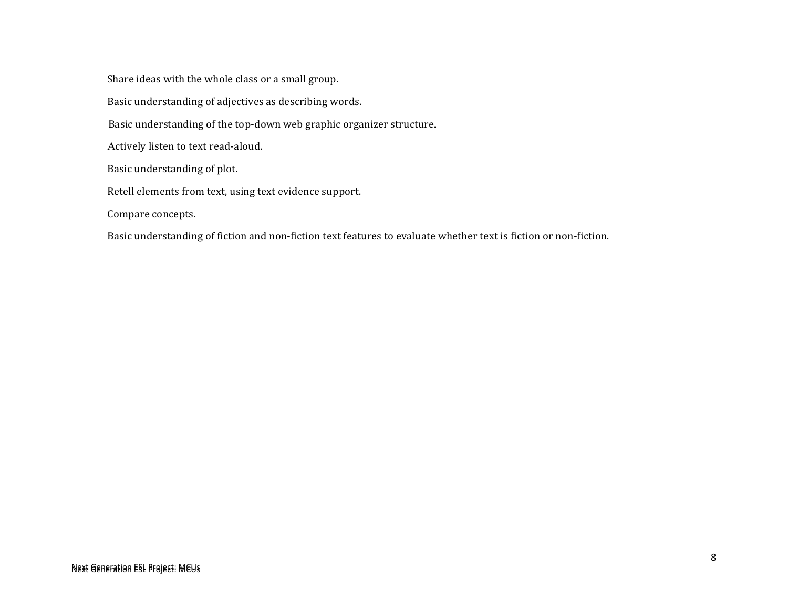Share ideas with the whole class or a small group. Basic understanding of adjectives as describing words. Basic understanding of the top-down web graphic organizer structure. Actively listen to text read-aloud. Basic understanding of plot. Retell elements from text, using text evidence support. Compare concepts.

Basic understanding of fiction and non-fiction text features to evaluate whether text is fiction or non-fiction.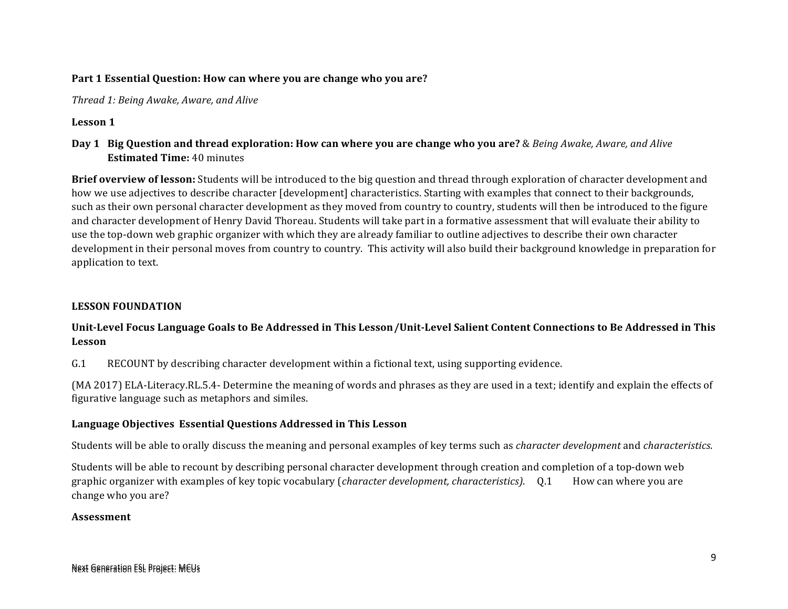#### Part 1 Essential Question: How can where you are change who you are?

*Thread 1: Being Awake, Aware, and Alive* 

#### Lesson 1

#### **Day 1 Big Question and thread exploration: How can where you are change who you are?** & *Being Awake, Aware, and Alive* **Estimated Time:** 40 minutes

**Brief overview of lesson:** Students will be introduced to the big question and thread through exploration of character development and how we use adjectives to describe character [development] characteristics. Starting with examples that connect to their backgrounds, such as their own personal character development as they moved from country to country, students will then be introduced to the figure and character development of Henry David Thoreau. Students will take part in a formative assessment that will evaluate their ability to use the top-down web graphic organizer with which they are already familiar to outline adjectives to describe their own character development in their personal moves from country to country. This activity will also build their background knowledge in preparation for application to text.

#### **LESSON FOUNDATION**

#### Unit-Level Focus Language Goals to Be Addressed in This Lesson/Unit-Level Salient Content Connections to Be Addressed in This **Lesson**

G.1 RECOUNT by describing character development within a fictional text, using supporting evidence.

(MA 2017) ELA-Literacy.RL.5.4- Determine the meaning of words and phrases as they are used in a text; identify and explain the effects of figurative language such as metaphors and similes.

#### **Language Objectives Essential Questions Addressed in This Lesson**

Students will be able to orally discuss the meaning and personal examples of key terms such as *character development* and *characteristics*.

Students will be able to recount by describing personal character development through creation and completion of a top-down web graphic organizer with examples of key topic vocabulary (*character development, characteristics*). Q.1 How can where you are change who you are?

#### **Assessment**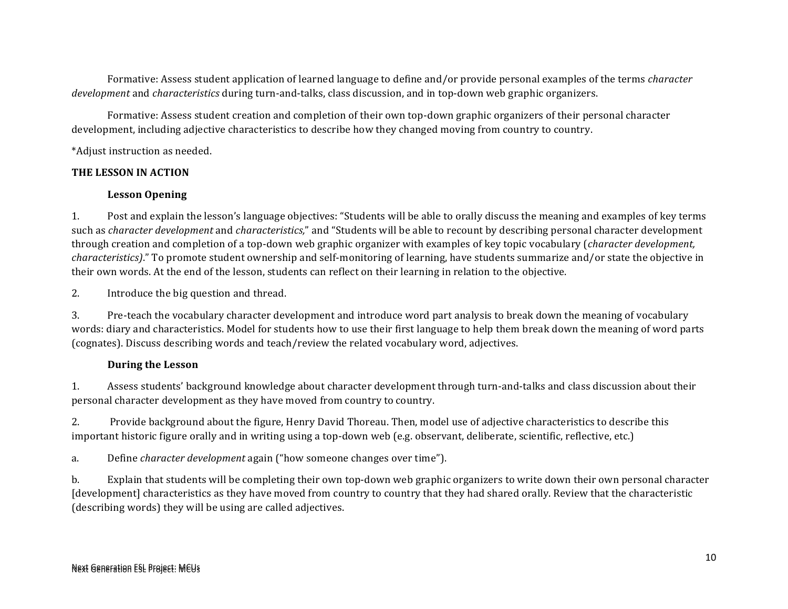Formative: Assess student application of learned language to define and/or provide personal examples of the terms *character development* and *characteristics* during turn-and-talks, class discussion, and in top-down web graphic organizers.

Formative: Assess student creation and completion of their own top-down graphic organizers of their personal character development, including adjective characteristics to describe how they changed moving from country to country.

\*Adjust instruction as needed.

#### **THE LESSON IN ACTION**

#### **Lesson Opening**

1. Post and explain the lesson's language objectives: "Students will be able to orally discuss the meaning and examples of key terms such as *character development* and *characteristics*," and "Students will be able to recount by describing personal character development through creation and completion of a top-down web graphic organizer with examples of key topic vocabulary (*character development*, *characteristics*)." To promote student ownership and self-monitoring of learning, have students summarize and/or state the objective in their own words. At the end of the lesson, students can reflect on their learning in relation to the objective.

2. Introduce the big question and thread.

3. Pre-teach the vocabulary character development and introduce word part analysis to break down the meaning of vocabulary words: diary and characteristics. Model for students how to use their first language to help them break down the meaning of word parts (cognates). Discuss describing words and teach/review the related vocabulary word, adjectives.

#### **During the Lesson**

1. Assess students' background knowledge about character development through turn-and-talks and class discussion about their personal character development as they have moved from country to country.

2. Provide background about the figure, Henry David Thoreau. Then, model use of adjective characteristics to describe this important historic figure orally and in writing using a top-down web (e.g. observant, deliberate, scientific, reflective, etc.)

a. Define *character development* again ("how someone changes over time").

b. Explain that students will be completing their own top-down web graphic organizers to write down their own personal character [development] characteristics as they have moved from country to country that they had shared orally. Review that the characteristic (describing words) they will be using are called adjectives.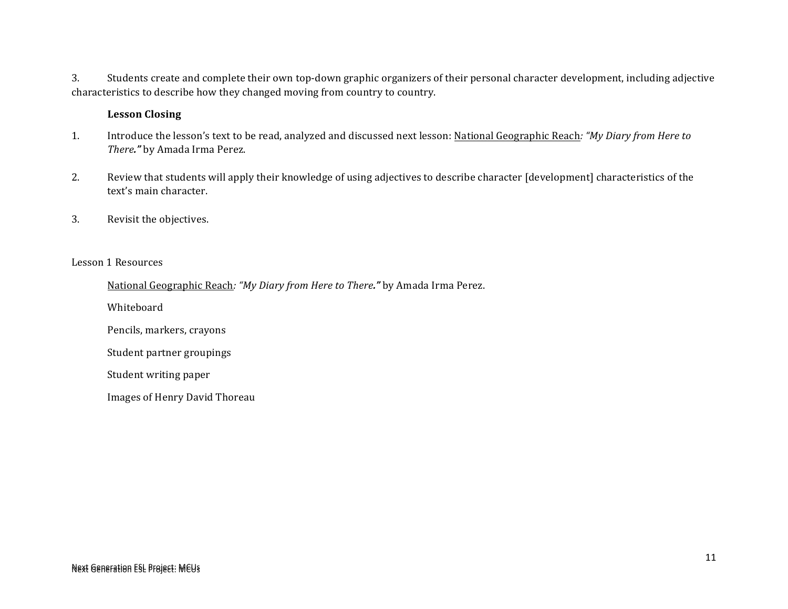3. Students create and complete their own top-down graphic organizers of their personal character development, including adjective characteristics to describe how they changed moving from country to country.

#### **Lesson Closing**

- 1. Introduce the lesson's text to be read, analyzed and discussed next lesson: National Geographic Reach: "My Diary from Here to *There."* by Amada Irma Perez.
- 2. Review that students will apply their knowledge of using adjectives to describe character [development] characteristics of the text's main character.
- 3. Revisit the objectives.

#### Lesson 1 Resources

National Geographic Reach: "My Diary from Here to There." by Amada Irma Perez.

Whiteboard

Pencils, markers, crayons

Student partner groupings

Student writing paper

Images of Henry David Thoreau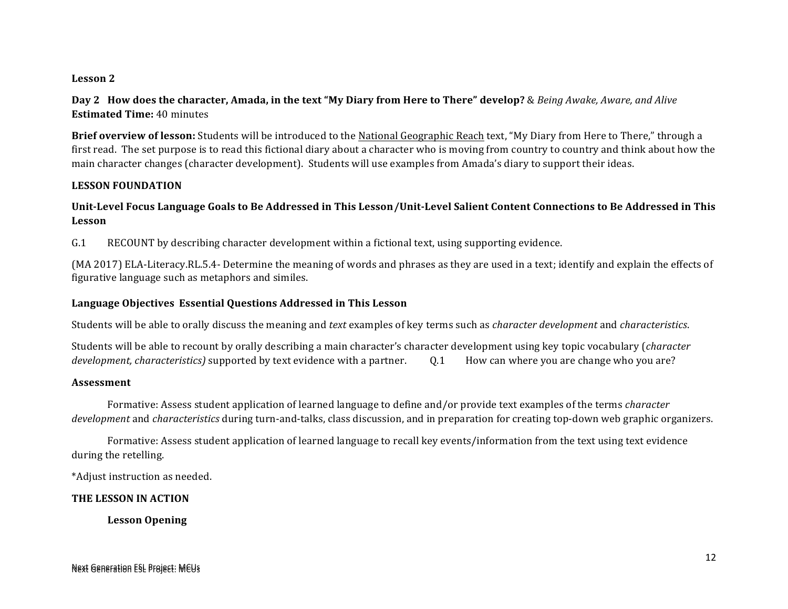#### Lesson 2

**Day 2** How does the character, Amada, in the text "My Diary from Here to There" develop? & *Being Awake, Aware, and Alive* **Estimated Time: 40 minutes** 

**Brief overview of lesson:** Students will be introduced to the National Geographic Reach text, "My Diary from Here to There," through a first read. The set purpose is to read this fictional diary about a character who is moving from country to country and think about how the main character changes (character development). Students will use examples from Amada's diary to support their ideas.

#### **LESSON FOUNDATION**

#### Unit-Level Focus Language Goals to Be Addressed in This Lesson/Unit-Level Salient Content Connections to Be Addressed in This **Lesson**

G.1 RECOUNT by describing character development within a fictional text, using supporting evidence.

(MA 2017) ELA-Literacy.RL.5.4- Determine the meaning of words and phrases as they are used in a text; identify and explain the effects of figurative language such as metaphors and similes.

#### **Language Objectives Essential Questions Addressed in This Lesson**

Students will be able to orally discuss the meaning and *text* examples of key terms such as *character development* and *characteristics*.

Students will be able to recount by orally describing a main character's character development using key topic vocabulary (*character development, characteristics*) supported by text evidence with a partner.  $\qquad 0.1$  How can where you are change who you are?

#### **Assessment**

Formative: Assess student application of learned language to define and/or provide text examples of the terms *character development* and *characteristics* during turn-and-talks, class discussion, and in preparation for creating top-down web graphic organizers.

Formative: Assess student application of learned language to recall key events/information from the text using text evidence during the retelling.

\*Adjust instruction as needed.

#### **THE LESSON IN ACTION**

**Lesson Opening**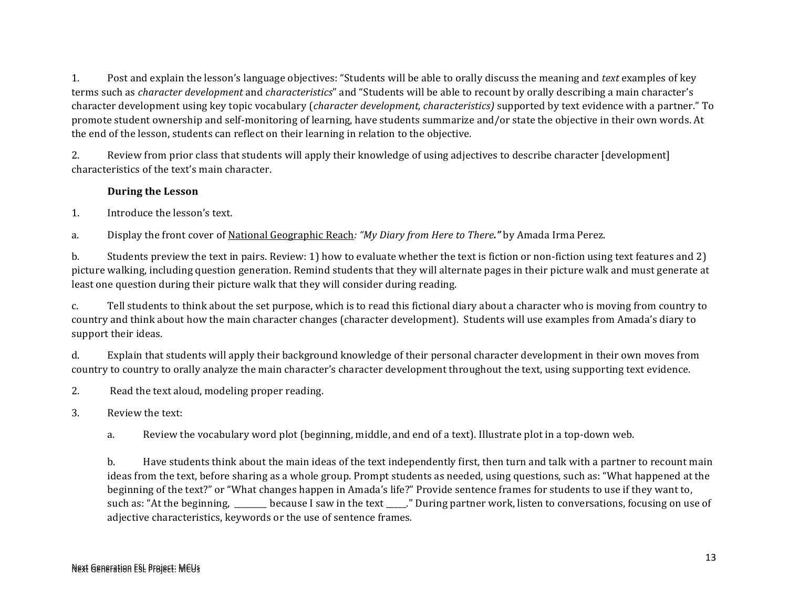1. Post and explain the lesson's language objectives: "Students will be able to orally discuss the meaning and *text* examples of key terms such as *character development* and *characteristics*" and "Students will be able to recount by orally describing a main character's character development using key topic vocabulary (*character development, characteristics*) supported by text evidence with a partner." To promote student ownership and self-monitoring of learning, have students summarize and/or state the objective in their own words. At the end of the lesson, students can reflect on their learning in relation to the objective.

2. Review from prior class that students will apply their knowledge of using adjectives to describe character [development] characteristics of the text's main character.

#### **During the Lesson**

1. Introduce the lesson's text.

a. Display the front cover of National Geographic Reach: "*My Diary from Here to There."* by Amada Irma Perez.

b. Students preview the text in pairs. Review: 1) how to evaluate whether the text is fiction or non-fiction using text features and 2) picture walking, including question generation. Remind students that they will alternate pages in their picture walk and must generate at least one question during their picture walk that they will consider during reading.

c. Tell students to think about the set purpose, which is to read this fictional diary about a character who is moving from country to country and think about how the main character changes (character development). Students will use examples from Amada's diary to support their ideas.

d. Explain that students will apply their background knowledge of their personal character development in their own moves from country to country to orally analyze the main character's character development throughout the text, using supporting text evidence.

2. Read the text aloud, modeling proper reading.

- 3. Review the text:
	- a. Review the vocabulary word plot (beginning, middle, and end of a text). Illustrate plot in a top-down web.

b. Have students think about the main ideas of the text independently first, then turn and talk with a partner to recount main ideas from the text, before sharing as a whole group. Prompt students as needed, using questions, such as: "What happened at the beginning of the text?" or "What changes happen in Amada's life?" Provide sentence frames for students to use if they want to, such as: "At the beginning, \_\_\_\_\_\_\_ because I saw in the text \_\_\_\_." During partner work, listen to conversations, focusing on use of adjective characteristics, keywords or the use of sentence frames.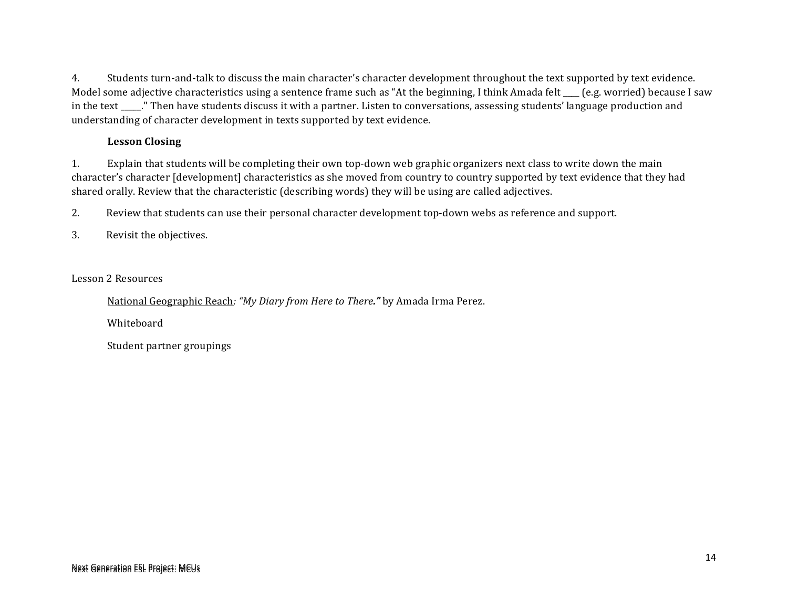4. Students turn-and-talk to discuss the main character's character development throughout the text supported by text evidence. Model some adjective characteristics using a sentence frame such as "At the beginning, I think Amada felt  $\epsilon$  (e.g. worried) because I saw in the text \_\_\_\_." Then have students discuss it with a partner. Listen to conversations, assessing students' language production and understanding of character development in texts supported by text evidence.

#### **Lesson Closing**

1. Explain that students will be completing their own top-down web graphic organizers next class to write down the main character's character [development] characteristics as she moved from country to country supported by text evidence that they had shared orally. Review that the characteristic (describing words) they will be using are called adjectives.

2. Review that students can use their personal character development top-down webs as reference and support.

3. Revisit the objectives.

Lesson 2 Resources

National Geographic Reach: "My Diary from Here to There." by Amada Irma Perez.

Whiteboard

Student partner groupings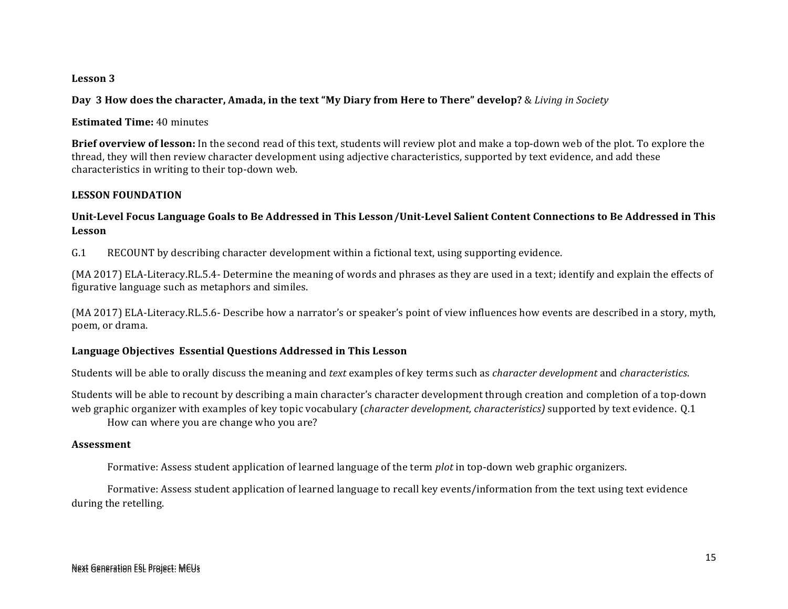#### **Lesson 3**

**Day** 3 How does the character, Amada, in the text "My Diary from Here to There" develop? & *Living in Society* 

**Estimated Time:** 40 minutes

**Brief overview of lesson:** In the second read of this text, students will review plot and make a top-down web of the plot. To explore the thread, they will then review character development using adjective characteristics, supported by text evidence, and add these characteristics in writing to their top-down web.

#### **LESSON FOUNDATION**

#### Unit-Level Focus Language Goals to Be Addressed in This Lesson/Unit-Level Salient Content Connections to Be Addressed in This **Lesson**

G.1 RECOUNT by describing character development within a fictional text, using supporting evidence.

(MA 2017) ELA-Literacy.RL.5.4- Determine the meaning of words and phrases as they are used in a text; identify and explain the effects of figurative language such as metaphors and similes.

(MA 2017) ELA-Literacy.RL.5.6- Describe how a narrator's or speaker's point of view influences how events are described in a story, myth, poem, or drama.

#### **Language Objectives Essential Questions Addressed in This Lesson**

Students will be able to orally discuss the meaning and *text* examples of key terms such as *character development* and *characteristics*.

Students will be able to recount by describing a main character's character development through creation and completion of a top-down web graphic organizer with examples of key topic vocabulary (*character development, characteristics*) supported by text evidence. Q.1

How can where you are change who you are?

#### **Assessment**

Formative: Assess student application of learned language of the term *plot* in top-down web graphic organizers.

Formative: Assess student application of learned language to recall key events/information from the text using text evidence during the retelling.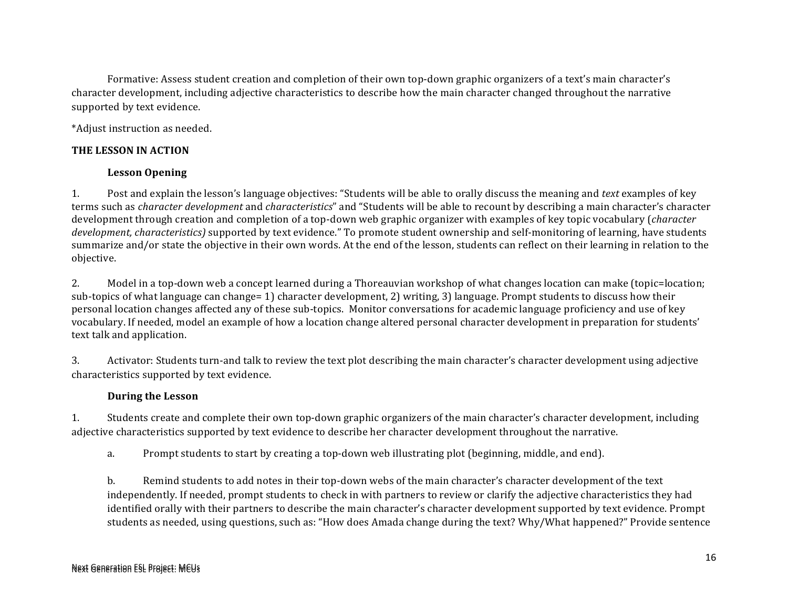Formative: Assess student creation and completion of their own top-down graphic organizers of a text's main character's character development, including adjective characteristics to describe how the main character changed throughout the narrative supported by text evidence.

\*Adjust instruction as needed.

#### **THE LESSON IN ACTION**

#### **Lesson Opening**

1. Post and explain the lesson's language objectives: "Students will be able to orally discuss the meaning and *text* examples of key terms such as *character development* and *characteristics*" and "Students will be able to recount by describing a main character's character development through creation and completion of a top-down web graphic organizer with examples of key topic vocabulary (*character development, characteristics*) supported by text evidence." To promote student ownership and self-monitoring of learning, have students summarize and/or state the objective in their own words. At the end of the lesson, students can reflect on their learning in relation to the objective. 

2. Model in a top-down web a concept learned during a Thoreauvian workshop of what changes location can make (topic=location; sub-topics of what language can change= 1) character development, 2) writing, 3) language. Prompt students to discuss how their personal location changes affected any of these sub-topics. Monitor conversations for academic language proficiency and use of key vocabulary. If needed, model an example of how a location change altered personal character development in preparation for students' text talk and application.

3. Activator: Students turn-and talk to review the text plot describing the main character's character development using adjective characteristics supported by text evidence.

#### **During the Lesson**

1. Students create and complete their own top-down graphic organizers of the main character's character development, including adjective characteristics supported by text evidence to describe her character development throughout the narrative.

a. Prompt students to start by creating a top-down web illustrating plot (beginning, middle, and end).

b. Remind students to add notes in their top-down webs of the main character's character development of the text independently. If needed, prompt students to check in with partners to review or clarify the adjective characteristics they had identified orally with their partners to describe the main character's character development supported by text evidence. Prompt students as needed, using questions, such as: "How does Amada change during the text? Why/What happened?" Provide sentence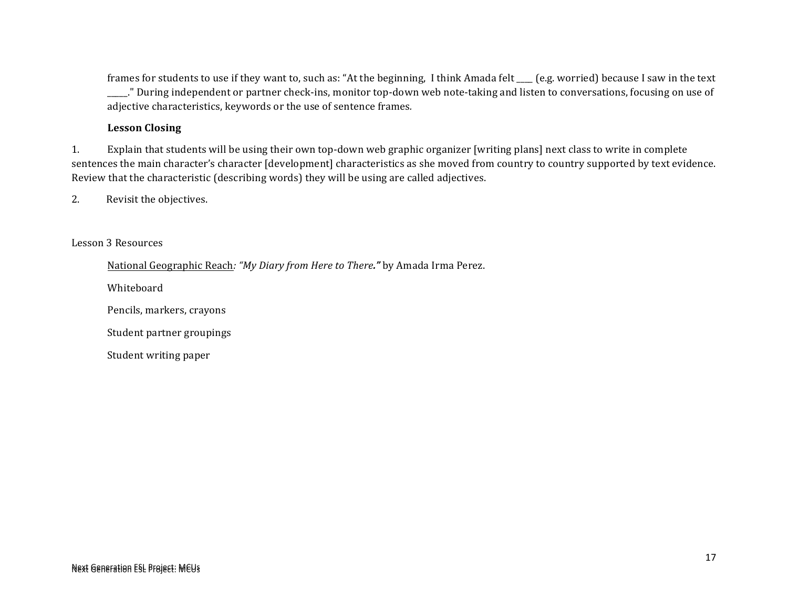frames for students to use if they want to, such as: "At the beginning, I think Amada felt \_\_\_ (e.g. worried) because I saw in the text \_\_\_\_." During independent or partner check-ins, monitor top-down web note-taking and listen to conversations, focusing on use of adjective characteristics, keywords or the use of sentence frames.

#### **Lesson Closing**

1. Explain that students will be using their own top-down web graphic organizer [writing plans] next class to write in complete sentences the main character's character [development] characteristics as she moved from country to country supported by text evidence. Review that the characteristic (describing words) they will be using are called adjectives.

2. Revisit the objectives.

#### Lesson 3 Resources

National Geographic Reach: "My Diary from Here to There." by Amada Irma Perez.

Whiteboard

Pencils, markers, crayons

Student partner groupings

Student writing paper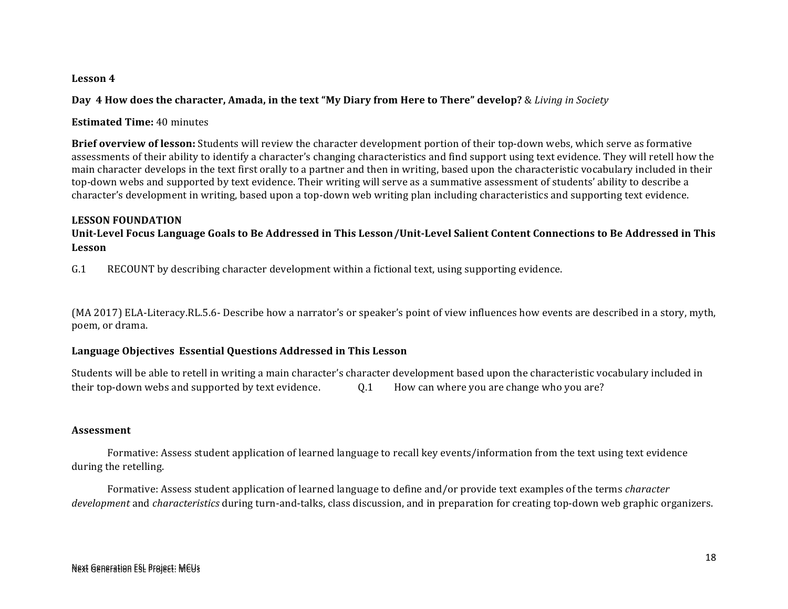#### Lesson 4

**Day 4 How does the character, Amada, in the text "My Diary from Here to There" develop?** & *Living in Society* 

**Estimated Time:** 40 minutes

**Brief overview of lesson:** Students will review the character development portion of their top-down webs, which serve as formative assessments of their ability to identify a character's changing characteristics and find support using text evidence. They will retell how the main character develops in the text first orally to a partner and then in writing, based upon the characteristic vocabulary included in their top-down webs and supported by text evidence. Their writing will serve as a summative assessment of students' ability to describe a character's development in writing, based upon a top-down web writing plan including characteristics and supporting text evidence.

#### **LESSON FOUNDATION**

Unit-Level Focus Language Goals to Be Addressed in This Lesson/Unit-Level Salient Content Connections to Be Addressed in This **Lesson**

G.1 RECOUNT by describing character development within a fictional text, using supporting evidence.

(MA 2017) ELA-Literacy.RL.5.6- Describe how a narrator's or speaker's point of view influences how events are described in a story, myth, poem, or drama.

#### **Language Objectives Essential Questions Addressed in This Lesson**

Students will be able to retell in writing a main character's character development based upon the characteristic vocabulary included in their top-down webs and supported by text evidence.  $\qquad 0.1$  How can where you are change who you are?

#### **Assessment**

Formative: Assess student application of learned language to recall key events/information from the text using text evidence during the retelling.

Formative: Assess student application of learned language to define and/or provide text examples of the terms *character development* and *characteristics* during turn-and-talks, class discussion, and in preparation for creating top-down web graphic organizers.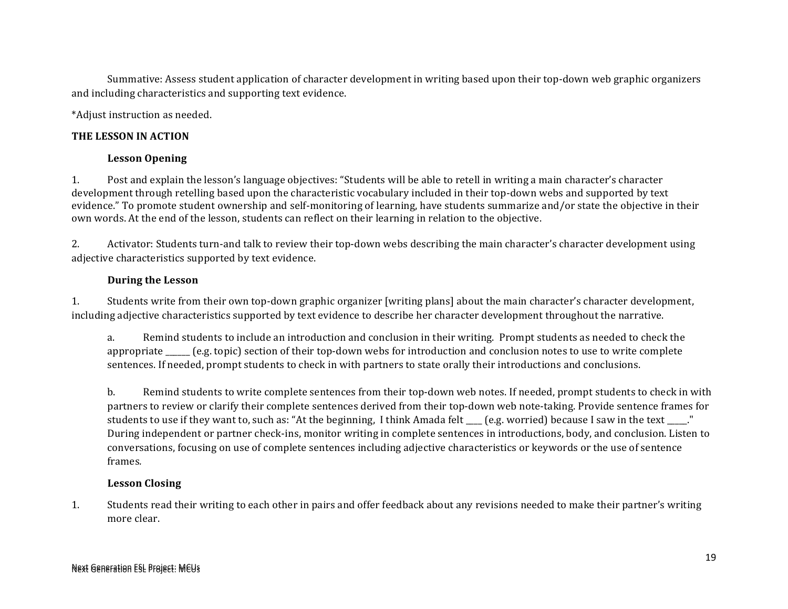Summative: Assess student application of character development in writing based upon their top-down web graphic organizers and including characteristics and supporting text evidence.

\*Adjust instruction as needed.

#### **THE LESSON IN ACTION**

#### **Lesson Opening**

1. Post and explain the lesson's language objectives: "Students will be able to retell in writing a main character's character development through retelling based upon the characteristic vocabulary included in their top-down webs and supported by text evidence." To promote student ownership and self-monitoring of learning, have students summarize and/or state the objective in their own words. At the end of the lesson, students can reflect on their learning in relation to the objective.

2. Activator: Students turn-and talk to review their top-down webs describing the main character's character development using adjective characteristics supported by text evidence.

#### **During the Lesson**

1. Students write from their own top-down graphic organizer [writing plans] about the main character's character development, including adjective characteristics supported by text evidence to describe her character development throughout the narrative.

a. Remind students to include an introduction and conclusion in their writing. Prompt students as needed to check the appropriate  $\_\_\_\_\_$ (e.g. topic) section of their top-down webs for introduction and conclusion notes to use to write complete sentences. If needed, prompt students to check in with partners to state orally their introductions and conclusions.

b. Remind students to write complete sentences from their top-down web notes. If needed, prompt students to check in with partners to review or clarify their complete sentences derived from their top-down web note-taking. Provide sentence frames for students to use if they want to, such as: "At the beginning, I think Amada felt  $\Box$  (e.g. worried) because I saw in the text  $\Box$ ." During independent or partner check-ins, monitor writing in complete sentences in introductions, body, and conclusion. Listen to conversations, focusing on use of complete sentences including adjective characteristics or keywords or the use of sentence frames*.* 

#### **Lesson Closing**

1. Students read their writing to each other in pairs and offer feedback about any revisions needed to make their partner's writing more clear.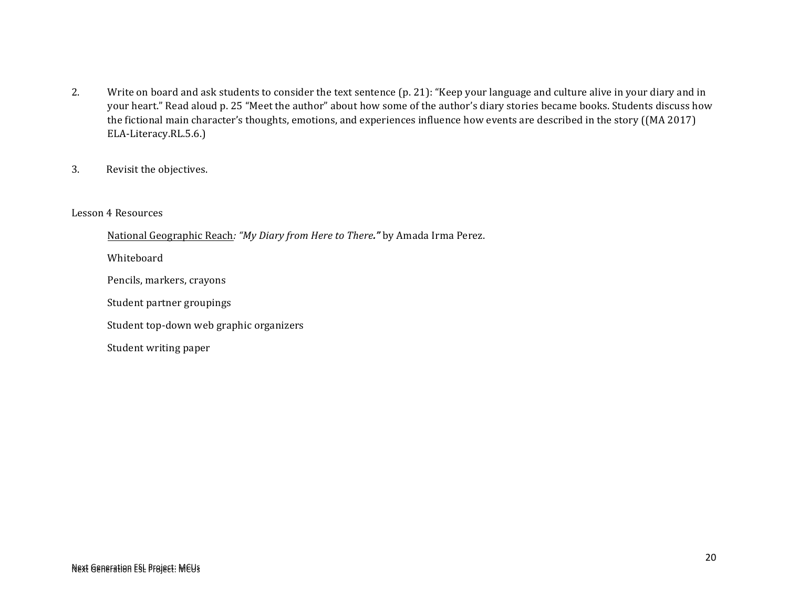- 2. Write on board and ask students to consider the text sentence (p. 21): "Keep your language and culture alive in your diary and in your heart." Read aloud p. 25 "Meet the author" about how some of the author's diary stories became books. Students discuss how the fictional main character's thoughts, emotions, and experiences influence how events are described in the story ((MA 2017) ELA-Literacy.RL.5.6.)
- 3. Revisit the objectives.

#### Lesson 4 Resources

National Geographic Reach: "My Diary from Here to There." by Amada Irma Perez.

Whiteboard

Pencils, markers, crayons

Student partner groupings

Student top-down web graphic organizers

Student writing paper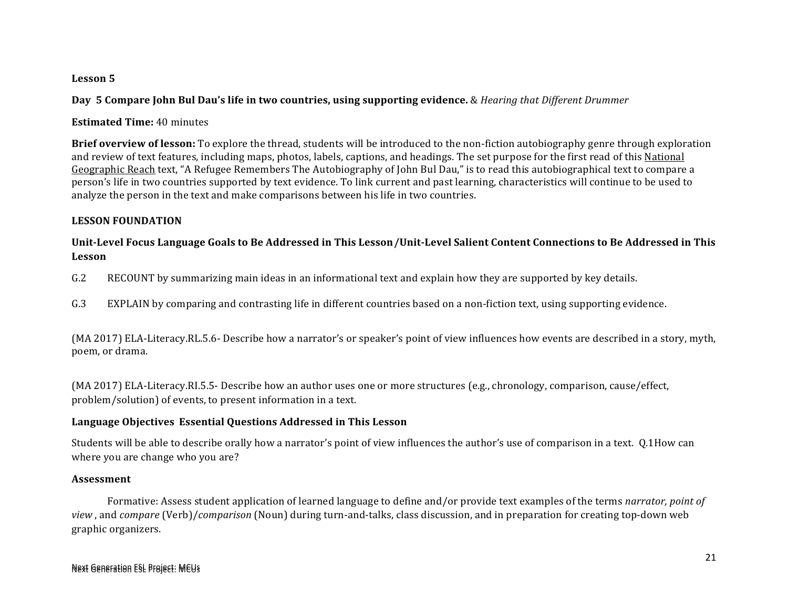#### Lesson 5

**Day 5 Compare John Bul Dau's life in two countries, using supporting evidence.** & *Hearing that Different Drummer* 

**Estimated Time:** 40 minutes

**Brief overview of lesson:** To explore the thread, students will be introduced to the non-fiction autobiography genre through exploration and review of text features, including maps, photos, labels, captions, and headings. The set purpose for the first read of this National Geographic Reach text, "A Refugee Remembers The Autobiography of John Bul Dau," is to read this autobiographical text to compare a person's life in two countries supported by text evidence. To link current and past learning, characteristics will continue to be used to analyze the person in the text and make comparisons between his life in two countries.

#### **LESSON FOUNDATION**

#### Unit-Level Focus Language Goals to Be Addressed in This Lesson/Unit-Level Salient Content Connections to Be Addressed in This **Lesson**

G.2 RECOUNT by summarizing main ideas in an informational text and explain how they are supported by key details.

G.3 EXPLAIN by comparing and contrasting life in different countries based on a non-fiction text, using supporting evidence.

(MA 2017) ELA-Literacy.RL.5.6- Describe how a narrator's or speaker's point of view influences how events are described in a story, myth, poem, or drama.

(MA 2017) ELA-Literacy.RI.5.5- Describe how an author uses one or more structures (e.g., chronology, comparison, cause/effect, problem/solution) of events, to present information in a text.

#### **Language Objectives Essential Questions Addressed in This Lesson**

Students will be able to describe orally how a narrator's point of view influences the author's use of comparison in a text. Q.1How can where you are change who you are?

#### **Assessment**

Formative: Assess student application of learned language to define and/or provide text examples of the terms *narrator, point of view*, and *compare* (Verb)/*comparison* (Noun) during turn-and-talks, class discussion, and in preparation for creating top-down web graphic organizers.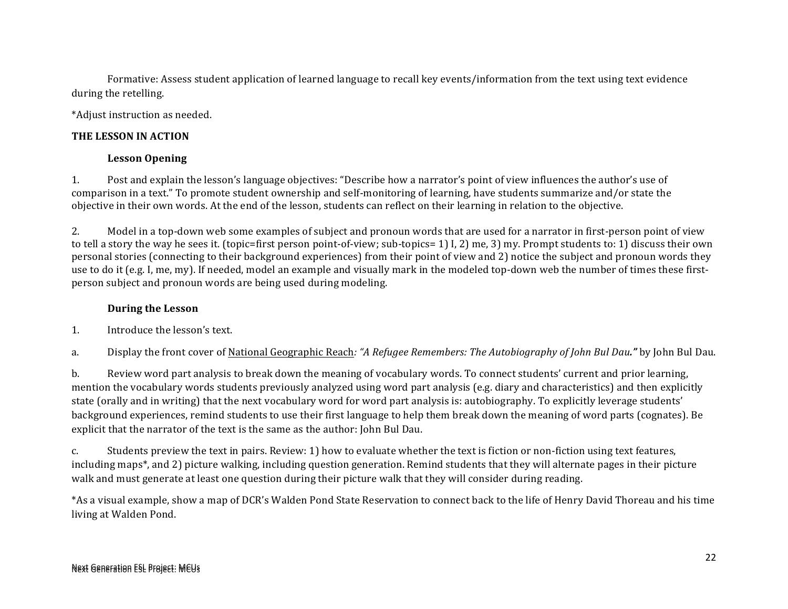Formative: Assess student application of learned language to recall key events/information from the text using text evidence during the retelling.

\*Adjust instruction as needed.

#### **THE LESSON IN ACTION**

#### **Lesson Opening**

1. Post and explain the lesson's language objectives: "Describe how a narrator's point of view influences the author's use of comparison in a text." To promote student ownership and self-monitoring of learning, have students summarize and/or state the objective in their own words. At the end of the lesson, students can reflect on their learning in relation to the objective.

2. Model in a top-down web some examples of subject and pronoun words that are used for a narrator in first-person point of view to tell a story the way he sees it. (topic=first person point-of-view; sub-topics= 1) I, 2) me, 3) my. Prompt students to: 1) discuss their own personal stories (connecting to their background experiences) from their point of view and 2) notice the subject and pronoun words they use to do it (e.g. I, me, my). If needed, model an example and visually mark in the modeled top-down web the number of times these firstperson subject and pronoun words are being used during modeling.

#### **During the Lesson**

1. Introduce the lesson's text.

a. Display the front cover of National Geographic Reach: "A Refugee Remembers: The Autobiography of John Bul Dau." by John Bul Dau.

b. Review word part analysis to break down the meaning of vocabulary words. To connect students' current and prior learning, mention the vocabulary words students previously analyzed using word part analysis (e.g. diary and characteristics) and then explicitly state (orally and in writing) that the next vocabulary word for word part analysis is: autobiography. To explicitly leverage students' background experiences, remind students to use their first language to help them break down the meaning of word parts (cognates). Be explicit that the narrator of the text is the same as the author: John Bul Dau.

c. Students preview the text in pairs. Review: 1) how to evaluate whether the text is fiction or non-fiction using text features, including maps\*, and 2) picture walking, including question generation. Remind students that they will alternate pages in their picture walk and must generate at least one question during their picture walk that they will consider during reading.

\*As a visual example, show a map of DCR's Walden Pond State Reservation to connect back to the life of Henry David Thoreau and his time living at Walden Pond.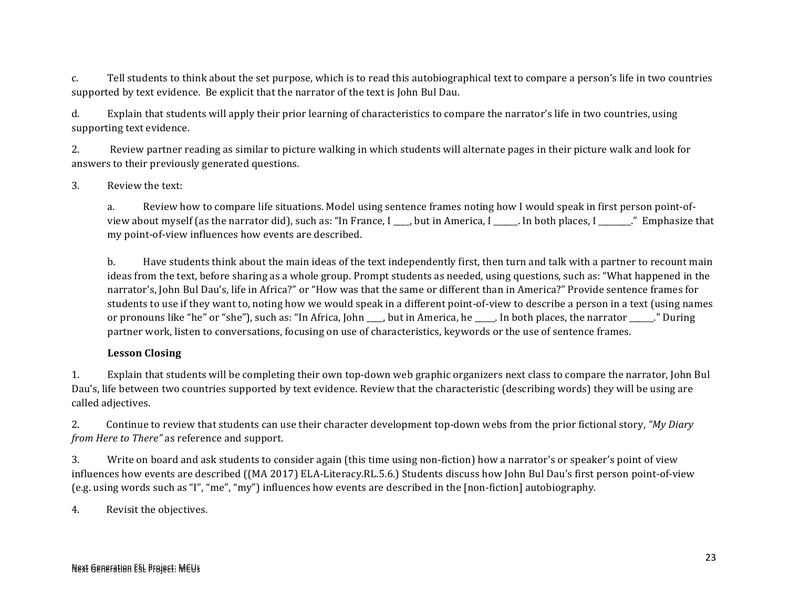c. Tell students to think about the set purpose, which is to read this autobiographical text to compare a person's life in two countries supported by text evidence. Be explicit that the narrator of the text is John Bul Dau.

d. Explain that students will apply their prior learning of characteristics to compare the narrator's life in two countries, using supporting text evidence.

2. Review partner reading as similar to picture walking in which students will alternate pages in their picture walk and look for answers to their previously generated questions.

#### 3. Review the text:

a. Review how to compare life situations. Model using sentence frames noting how I would speak in first person point-ofview about myself (as the narrator did), such as: "In France, I has but in America, I and both places, I all methods with  $\frac{1}{\pi}$  and  $\frac{1}{\pi}$  in  $\frac{1}{\pi}$  and  $\frac{1}{\pi}$  are that my point-of-view influences how events are described.

b. Have students think about the main ideas of the text independently first, then turn and talk with a partner to recount main ideas from the text, before sharing as a whole group. Prompt students as needed, using questions, such as: "What happened in the narrator's, John Bul Dau's, life in Africa?" or "How was that the same or different than in America?" Provide sentence frames for students to use if they want to, noting how we would speak in a different point-of-view to describe a person in a text (using names or pronouns like "he" or "she"), such as: "In Africa, John \_\_\_, but in America, he \_\_\_\_. In both places, the narrator \_\_\_\_\_." During partner work, listen to conversations, focusing on use of characteristics, keywords or the use of sentence frames.

#### **Lesson Closing**

1. Explain that students will be completing their own top-down web graphic organizers next class to compare the narrator, John Bul Dau's, life between two countries supported by text evidence. Review that the characteristic (describing words) they will be using are called adjectives.

2. Continue to review that students can use their character development top-down webs from the prior fictional story, *"My Diary from Here to There"* as reference and support.

3. Write on board and ask students to consider again (this time using non-fiction) how a narrator's or speaker's point of view influences how events are described ((MA 2017) ELA-Literacy.RL.5.6.) Students discuss how John Bul Dau's first person point-of-view (e.g. using words such as "I", "me", "my") influences how events are described in the  $[non\text{-fiction}]$  autobiography.

4. Revisit the objectives.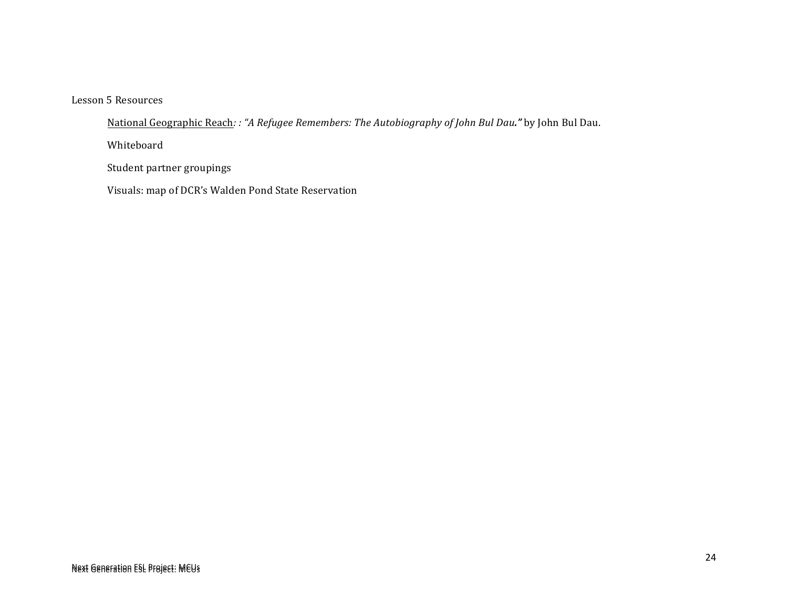Lesson 5 Resources

Mational Geographic Reach: : "A Refugee Remembers: The Autobiography of John Bul Dau." by John Bul Dau.

Whiteboard

Student partner groupings

Visuals: map of DCR's Walden Pond State Reservation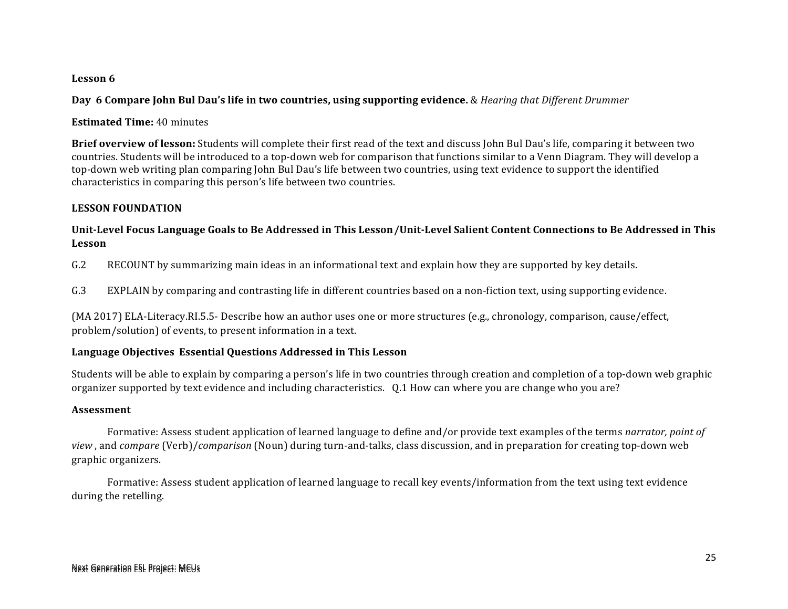#### Lesson 6

**Day 6 Compare John Bul Dau's life in two countries, using supporting evidence.** & *Hearing that Different Drummer* 

**Estimated Time:** 40 minutes

**Brief overview of lesson:** Students will complete their first read of the text and discuss John Bul Dau's life, comparing it between two countries. Students will be introduced to a top-down web for comparison that functions similar to a Venn Diagram. They will develop a top-down web writing plan comparing John Bul Dau's life between two countries, using text evidence to support the identified characteristics in comparing this person's life between two countries.

#### **LESSON FOUNDATION**

#### Unit-Level Focus Language Goals to Be Addressed in This Lesson/Unit-Level Salient Content Connections to Be Addressed in This **Lesson**

G.2 RECOUNT by summarizing main ideas in an informational text and explain how they are supported by key details.

G.3 EXPLAIN by comparing and contrasting life in different countries based on a non-fiction text, using supporting evidence.

 $(MA 2017)$  ELA-Literacy.RI.5.5- Describe how an author uses one or more structures  $(e.g., chronology, comparison, cause/effect,$ problem/solution) of events, to present information in a text.

#### **Language Objectives Essential Questions Addressed in This Lesson**

Students will be able to explain by comparing a person's life in two countries through creation and completion of a top-down web graphic organizer supported by text evidence and including characteristics. Q.1 How can where you are change who you are?

#### **Assessment**

Formative: Assess student application of learned language to define and/or provide text examples of the terms *narrator, point of view*, and *compare* (Verb)/*comparison* (Noun) during turn-and-talks, class discussion, and in preparation for creating top-down web graphic organizers. 

Formative: Assess student application of learned language to recall key events/information from the text using text evidence during the retelling.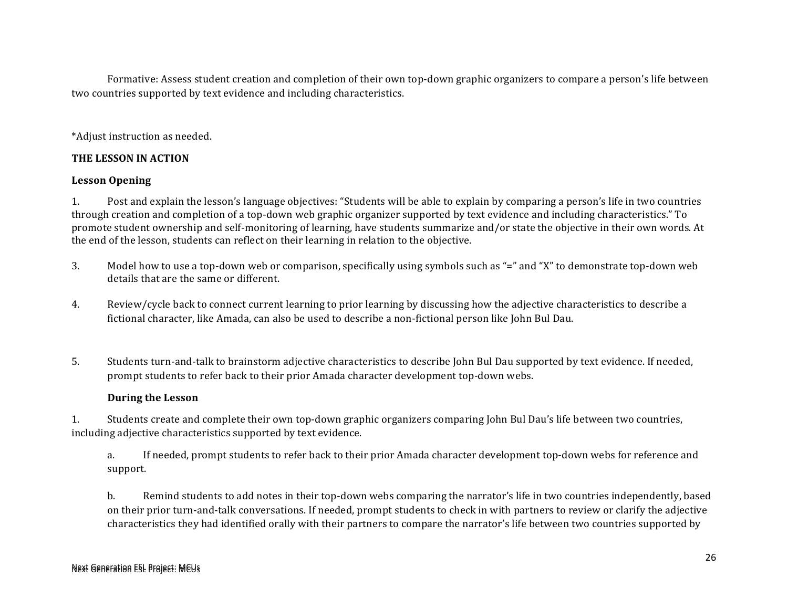Formative: Assess student creation and completion of their own top-down graphic organizers to compare a person's life between two countries supported by text evidence and including characteristics.

\*Adjust instruction as needed.

#### **THE LESSON IN ACTION**

#### **Lesson Opening**

1. Post and explain the lesson's language objectives: "Students will be able to explain by comparing a person's life in two countries through creation and completion of a top-down web graphic organizer supported by text evidence and including characteristics." To promote student ownership and self-monitoring of learning, have students summarize and/or state the objective in their own words. At the end of the lesson, students can reflect on their learning in relation to the objective.

- 3. Model how to use a top-down web or comparison, specifically using symbols such as "=" and "X" to demonstrate top-down web details that are the same or different.
- 4. Review/cycle back to connect current learning to prior learning by discussing how the adjective characteristics to describe a fictional character, like Amada, can also be used to describe a non-fictional person like John Bul Dau.
- 5. Students turn-and-talk to brainstorm adjective characteristics to describe John Bul Dau supported by text evidence. If needed, prompt students to refer back to their prior Amada character development top-down webs.

#### **During the Lesson**

1. Students create and complete their own top-down graphic organizers comparing John Bul Dau's life between two countries, including adjective characteristics supported by text evidence.

a. If needed, prompt students to refer back to their prior Amada character development top-down webs for reference and support.

b. Remind students to add notes in their top-down webs comparing the narrator's life in two countries independently, based on their prior turn-and-talk conversations. If needed, prompt students to check in with partners to review or clarify the adjective characteristics they had identified orally with their partners to compare the narrator's life between two countries supported by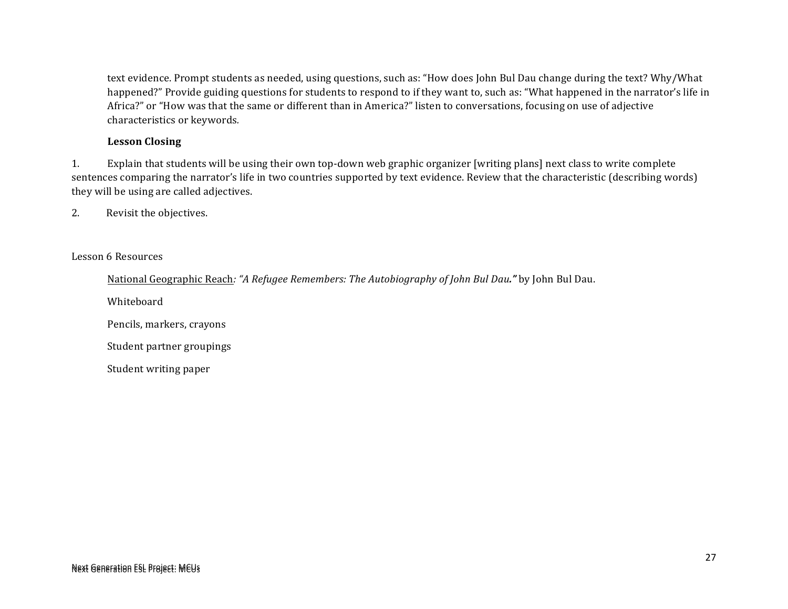text evidence. Prompt students as needed, using questions, such as: "How does John Bul Dau change during the text? Why/What happened?" Provide guiding questions for students to respond to if they want to, such as: "What happened in the narrator's life in Africa?" or "How was that the same or different than in America?" listen to conversations, focusing on use of adjective characteristics or keywords.

#### **Lesson Closing**

1. Explain that students will be using their own top-down web graphic organizer [writing plans] next class to write complete sentences comparing the narrator's life in two countries supported by text evidence. Review that the characteristic (describing words) they will be using are called adjectives.

2. Revisit the objectives.

#### Lesson 6 Resources

National Geographic Reach: "A Refugee Remembers: The Autobiography of John Bul Dau." by John Bul Dau.

Whiteboard

Pencils, markers, crayons

Student partner groupings

Student writing paper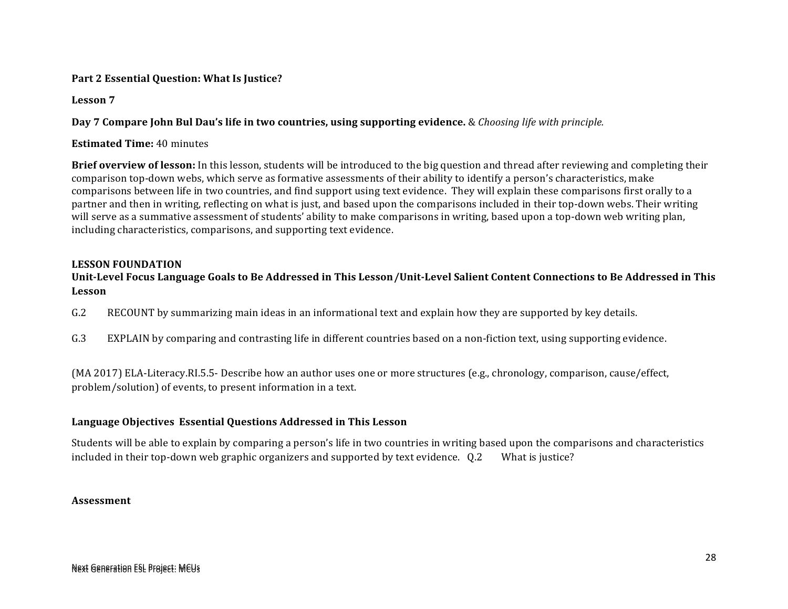#### Part 2 Essential Question: What Is Justice?

**Lesson 7**

**Day 7 Compare John Bul Dau's life in two countries, using supporting evidence.** & *Choosing life with principle.* 

**Estimated Time: 40 minutes** 

**Brief overview of lesson:** In this lesson, students will be introduced to the big question and thread after reviewing and completing their comparison top-down webs, which serve as formative assessments of their ability to identify a person's characteristics, make comparisons between life in two countries, and find support using text evidence. They will explain these comparisons first orally to a partner and then in writing, reflecting on what is just, and based upon the comparisons included in their top-down webs. Their writing will serve as a summative assessment of students' ability to make comparisons in writing, based upon a top-down web writing plan, including characteristics, comparisons, and supporting text evidence.

#### **LESSON FOUNDATION**

#### Unit-Level Focus Language Goals to Be Addressed in This Lesson/Unit-Level Salient Content Connections to Be Addressed in This **Lesson**

- G.2 RECOUNT by summarizing main ideas in an informational text and explain how they are supported by key details.
- G.3 EXPLAIN by comparing and contrasting life in different countries based on a non-fiction text, using supporting evidence.

 $(MA 2017)$  ELA-Literacy.RI.5.5- Describe how an author uses one or more structures  $(e.g., chronology, comparison, cause/effect,$ problem/solution) of events, to present information in a text.

#### **Language Objectives Essential Questions Addressed in This Lesson**

Students will be able to explain by comparing a person's life in two countries in writing based upon the comparisons and characteristics included in their top-down web graphic organizers and supported by text evidence.  $\overline{0.2}$  What is justice?

#### **Assessment**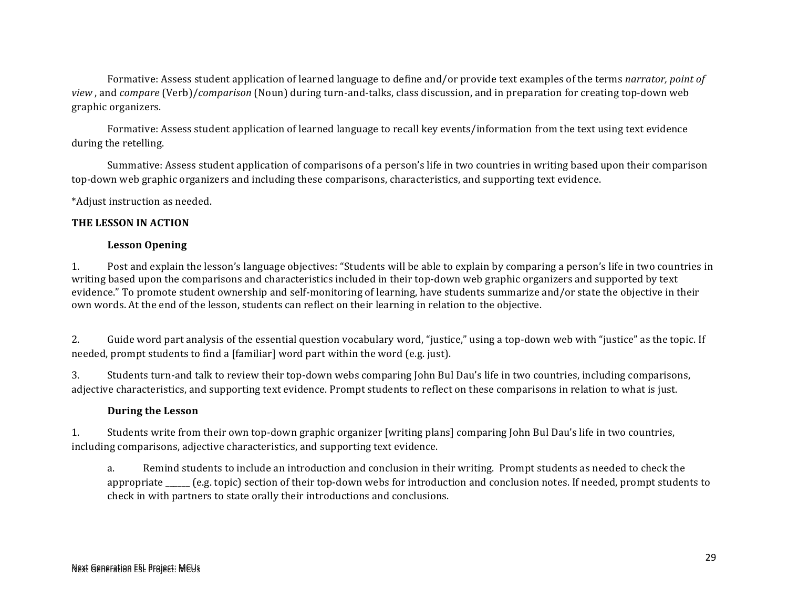Formative: Assess student application of learned language to define and/or provide text examples of the terms *narrator, point of view*, and *compare* (Verb)/*comparison* (Noun) during turn-and-talks, class discussion, and in preparation for creating top-down web graphic organizers. 

Formative: Assess student application of learned language to recall key events/information from the text using text evidence during the retelling.

Summative: Assess student application of comparisons of a person's life in two countries in writing based upon their comparison top-down web graphic organizers and including these comparisons, characteristics, and supporting text evidence.

\*Adjust instruction as needed.

#### **THE LESSON IN ACTION**

#### **Lesson Opening**

1. Post and explain the lesson's language objectives: "Students will be able to explain by comparing a person's life in two countries in writing based upon the comparisons and characteristics included in their top-down web graphic organizers and supported by text evidence." To promote student ownership and self-monitoring of learning, have students summarize and/or state the objective in their own words. At the end of the lesson, students can reflect on their learning in relation to the objective.

2. Guide word part analysis of the essential question vocabulary word, "justice," using a top-down web with "justice" as the topic. If needed, prompt students to find a [familiar] word part within the word (e.g. just).

3. Students turn-and talk to review their top-down webs comparing John Bul Dau's life in two countries, including comparisons, adjective characteristics, and supporting text evidence. Prompt students to reflect on these comparisons in relation to what is just.

#### **During the Lesson**

1. Students write from their own top-down graphic organizer [writing plans] comparing John Bul Dau's life in two countries, including comparisons, adjective characteristics, and supporting text evidence.

a. Remind students to include an introduction and conclusion in their writing. Prompt students as needed to check the appropriate  $\Box$  (e.g. topic) section of their top-down webs for introduction and conclusion notes. If needed, prompt students to check in with partners to state orally their introductions and conclusions.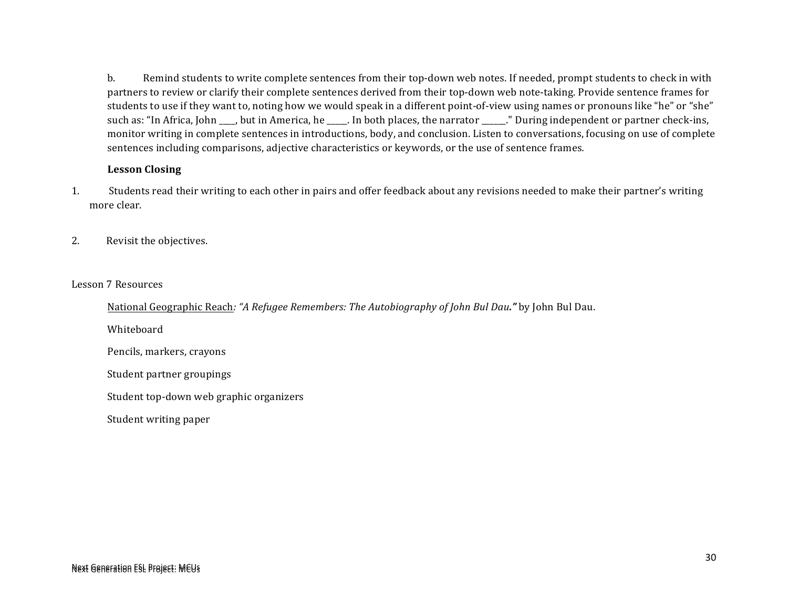b. Remind students to write complete sentences from their top-down web notes. If needed, prompt students to check in with partners to review or clarify their complete sentences derived from their top-down web note-taking. Provide sentence frames for students to use if they want to, noting how we would speak in a different point-of-view using names or pronouns like "he" or "she" such as: "In Africa, John \_\_\_, but in America, he \_\_\_\_. In both places, the narrator \_\_\_\_\_." During independent or partner check-ins, monitor writing in complete sentences in introductions, body, and conclusion. Listen to conversations, focusing on use of complete sentences including comparisons, adjective characteristics or keywords, or the use of sentence frames.

#### **Lesson Closing**

- 1. Students read their writing to each other in pairs and offer feedback about any revisions needed to make their partner's writing more clear.
- 2. Revisit the objectives.

Lesson 7 Resources

National Geographic Reach: "A Refugee Remembers: The Autobiography of *John Bul Dau*." by John Bul Dau.

Whiteboard

Pencils, markers, crayons

Student partner groupings

Student top-down web graphic organizers

Student writing paper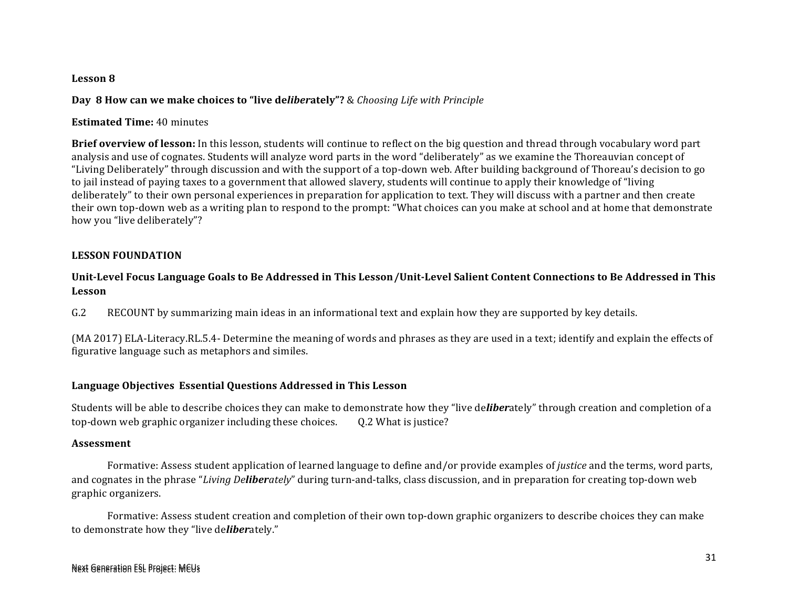#### **Lesson 8**

#### **Day 8 How can we make choices to "live deliberately"?** & *Choosing Life with Principle*

#### **Estimated Time: 40 minutes**

**Brief overview of lesson:** In this lesson, students will continue to reflect on the big question and thread through vocabulary word part analysis and use of cognates. Students will analyze word parts in the word "deliberately" as we examine the Thoreauvian concept of "Living Deliberately" through discussion and with the support of a top-down web. After building background of Thoreau's decision to go to jail instead of paying taxes to a government that allowed slavery, students will continue to apply their knowledge of "living" deliberately" to their own personal experiences in preparation for application to text. They will discuss with a partner and then create their own top-down web as a writing plan to respond to the prompt: "What choices can you make at school and at home that demonstrate how you "live deliberately"?

#### **LESSON FOUNDATION**

#### Unit-Level Focus Language Goals to Be Addressed in This Lesson/Unit-Level Salient Content Connections to Be Addressed in This **Lesson**

G.2 RECOUNT by summarizing main ideas in an informational text and explain how they are supported by key details.

(MA 2017) ELA-Literacy.RL.5.4- Determine the meaning of words and phrases as they are used in a text; identify and explain the effects of figurative language such as metaphors and similes.

#### **Language Objectives Essential Questions Addressed in This Lesson**

Students will be able to describe choices they can make to demonstrate how they "live deliberately" through creation and completion of a top-down web graphic organizer including these choices. Q.2 What is justice?

#### **Assessment**

Formative: Assess student application of learned language to define and/or provide examples of *justice* and the terms, word parts, and cognates in the phrase "*Living Deliberately*" during turn-and-talks, class discussion, and in preparation for creating top-down web graphic organizers. 

Formative: Assess student creation and completion of their own top-down graphic organizers to describe choices they can make to demonstrate how they "live deliberately."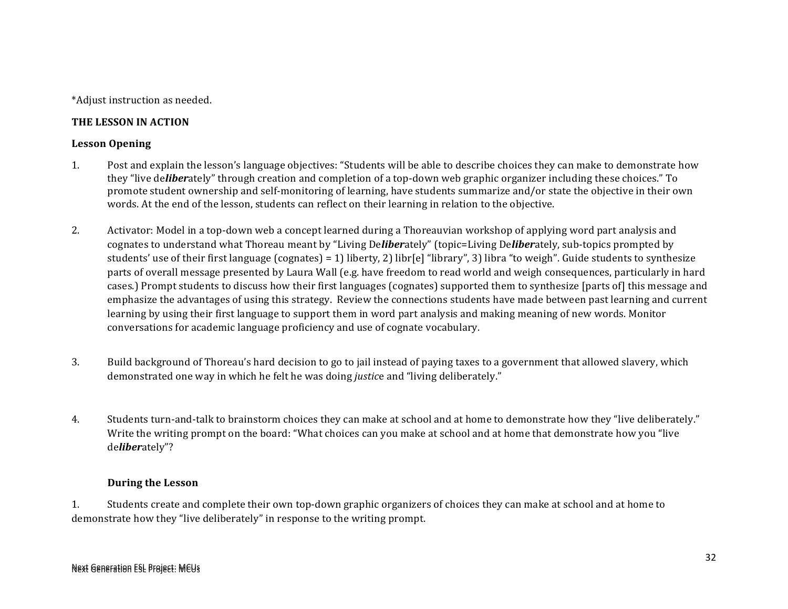\*Adjust instruction as needed.

#### **THE LESSON IN ACTION**

#### **Lesson Opening**

- 1. Post and explain the lesson's language objectives: "Students will be able to describe choices they can make to demonstrate how they "live deliberately" through creation and completion of a top-down web graphic organizer including these choices." To promote student ownership and self-monitoring of learning, have students summarize and/or state the objective in their own words. At the end of the lesson, students can reflect on their learning in relation to the objective.
- 2. Activator: Model in a top-down web a concept learned during a Thoreauvian workshop of applying word part analysis and cognates to understand what Thoreau meant by "Living Deliberately" (topic=Living Deliberately, sub-topics prompted by students' use of their first language  $\text{(cognates)} = 1\text{)}$  liberty, 2) libr $\text{[e]}$  "library", 3) libra "to weigh". Guide students to synthesize parts of overall message presented by Laura Wall (e.g. have freedom to read world and weigh consequences, particularly in hard cases.) Prompt students to discuss how their first languages (cognates) supported them to synthesize [parts of] this message and emphasize the advantages of using this strategy. Review the connections students have made between past learning and current learning by using their first language to support them in word part analysis and making meaning of new words. Monitor conversations for academic language proficiency and use of cognate vocabulary.
- 3. Build background of Thoreau's hard decision to go to jail instead of paying taxes to a government that allowed slavery, which demonstrated one way in which he felt he was doing *justice* and "living deliberately."
- 4. Students turn-and-talk to brainstorm choices they can make at school and at home to demonstrate how they "live deliberately." Write the writing prompt on the board: "What choices can you make at school and at home that demonstrate how you "live" de*liber*ately"?

#### **During the Lesson**

1. Students create and complete their own top-down graphic organizers of choices they can make at school and at home to demonstrate how they "live deliberately" in response to the writing prompt.